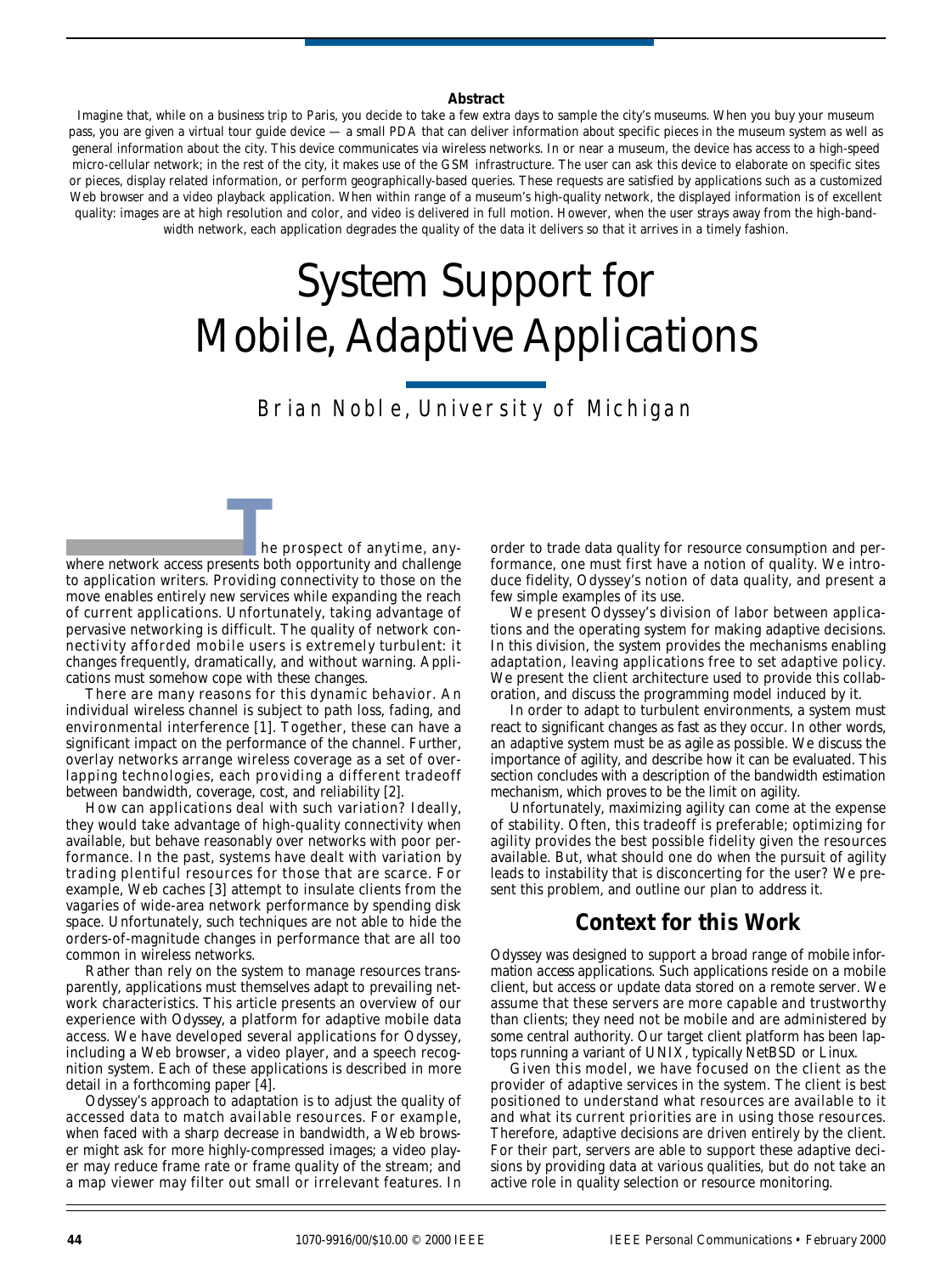#### **Abstract**

Imagine that, while on a business trip to Paris, you decide to take a few extra days to sample the city's museums. When you buy your museum pass, you are given a virtual tour guide device — a small PDA that can deliver information about specific pieces in the museum system as well as general information about the city. This device communicates via wireless networks. In or near a museum, the device has access to a high-speed micro-cellular network; in the rest of the city, it makes use of the GSM infrastructure. The user can ask this device to elaborate on specific sites or pieces, display related information, or perform geographically-based queries. These requests are satisfied by applications such as a customized Web browser and a video playback application. When within range of a museum's high-quality network, the displayed information is of excellent quality: images are at high resolution and color, and video is delivered in full motion. However, when the user strays away from the high-bandwidth network, each application degrades the quality of the data it delivers so that it arrives in a timely fashion.

# *System Support for Mobile, Adaptive Applications*

# Brian Noble, University of Michigan

he prospect of anytime, any-**EXECUTE:**<br>The prospect of anytime, anywhere network access presents both opportunity and challenge to application writers. Providing connectivity to those on the move enables entirely new services while expanding the reach of current applications. Unfortunately, taking advantage of pervasive networking is difficult. The quality of network connectivity afforded mobile users is extremely *turbulent*: it changes frequently, dramatically, and without warning. Applications must somehow cope with these changes.

There are many reasons for this dynamic behavior. An individual wireless channel is subject to path loss, fading, and environmental interference [1]. Together, these can have a significant impact on the performance of the channel. Further, overlay networks arrange wireless coverage as a set of overlapping technologies, each providing a different tradeoff between bandwidth, coverage, cost, and reliability [2].

How can applications deal with such variation? Ideally, they would take advantage of high-quality connectivity when available, but behave reasonably over networks with poor performance. In the past, systems have dealt with variation by trading plentiful resources for those that are scarce. For example, Web caches [3] attempt to insulate clients from the vagaries of wide-area network performance by spending disk space. Unfortunately, such techniques are not able to hide the orders-of-magnitude changes in performance that are all too common in wireless networks.

Rather than rely on the system to manage resources transparently, applications must themselves *adapt* to prevailing network characteristics. This article presents an overview of our experience with *Odyssey*, a platform for adaptive mobile data access. We have developed several applications for Odyssey, including a Web browser, a video player, and a speech recognition system. Each of these applications is described in more detail in a forthcoming paper [4].

Odyssey's approach to adaptation is to adjust the quality of accessed data to match available resources. For example, when faced with a sharp decrease in bandwidth, a Web browser might ask for more highly-compressed images; a video player may reduce frame rate or frame quality of the stream; and a map viewer may filter out small or irrelevant features. In

order to trade data quality for resource consumption and performance, one must first have a notion of quality. We introduce *fidelity*, Odyssey's notion of data quality, and present a few simple examples of its use.

We present Odyssey's division of labor between applications and the operating system for making adaptive decisions. In this division, the system provides the mechanisms enabling adaptation, leaving applications free to set adaptive policy. We present the client architecture used to provide this collaboration, and discuss the programming model induced by it.

In order to adapt to turbulent environments, a system must react to significant changes as fast as they occur. In other words, an adaptive system must be as *agile* as possible. We discuss the importance of agility, and describe how it can be evaluated. This section concludes with a description of the bandwidth estimation mechanism, which proves to be the limit on agility.

Unfortunately, maximizing agility can come at the expense of stability. Often, this tradeoff is preferable; optimizing for agility provides the best possible fidelity given the resources available. But, what should one do when the pursuit of agility leads to instability that is disconcerting for the user? We present this problem, and outline our plan to address it.

## *Context for this Work*

Odyssey was designed to support a broad range of *mobile information access* applications. Such applications reside on a mobile client, but access or update data stored on a remote server. We assume that these servers are more capable and trustworthy than clients; they need not be mobile and are administered by some central authority. Our target client platform has been laptops running a variant of UNIX, typically NetBSD or Linux.

Given this model, we have focused on the client as the provider of adaptive services in the system. The client is best positioned to understand what resources are available to it and what its current priorities are in using those resources. Therefore, adaptive decisions are driven entirely by the client. For their part, servers are able to support these adaptive decisions by providing data at various qualities, but do not take an active role in quality selection or resource monitoring.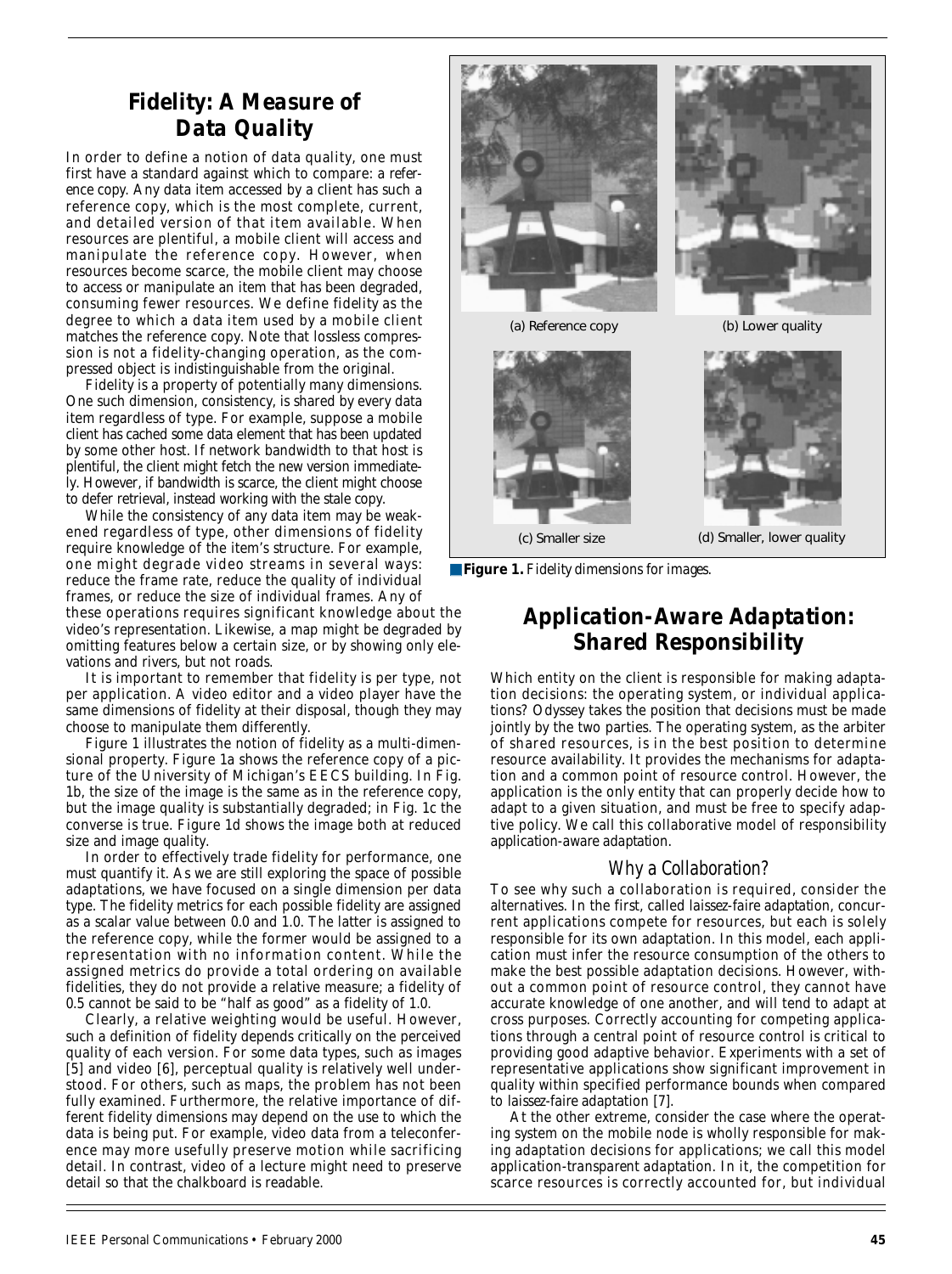# *Fidelity: A Measure of Data Quality*

In order to define a notion of data quality, one must first have a standard against which to compare: a *reference copy*. Any data item accessed by a client has such a reference copy, which is the most complete, current, and detailed version of that item available. When resources are plentiful, a mobile client will access and manipulate the reference copy. However, when resources become scarce, the mobile client may choose to access or manipulate an item that has been degraded, consuming fewer resources. We define *fidelity* as the degree to which a data item used by a mobile client matches the reference copy. Note that lossless compression is not a fidelity-changing operation, as the compressed object is indistinguishable from the original.

Fidelity is a property of potentially many dimensions. One such dimension, consistency, is shared by every data item regardless of type. For example, suppose a mobile client has cached some data element that has been updated by some other host. If network bandwidth to that host is plentiful, the client might fetch the new version immediately. However, if bandwidth is scarce, the client might choose to defer retrieval, instead working with the stale copy.

While the consistency of any data item may be weakened regardless of type, other dimensions of fidelity require knowledge of the item's structure. For example, one might degrade video streams in several ways: reduce the frame rate, reduce the quality of individual frames, or reduce the size of individual frames. Any of

these operations requires significant knowledge about the video's representation. Likewise, a map might be degraded by omitting features below a certain size, or by showing only elevations and rivers, but not roads.

It is important to remember that fidelity is per type, not per application. A video editor and a video player have the same dimensions of fidelity at their disposal, though they may choose to manipulate them differently.

Figure 1 illustrates the notion of fidelity as a multi-dimensional property. Figure 1a shows the reference copy of a picture of the University of Michigan's EECS building. In Fig. 1b, the size of the image is the same as in the reference copy, but the image quality is substantially degraded; in Fig. 1c the converse is true. Figure 1d shows the image both at reduced size and image quality.

In order to effectively trade fidelity for performance, one must quantify it. As we are still exploring the space of possible adaptations, we have focused on a single dimension per data type. The fidelity metrics for each possible fidelity are assigned as a scalar value between 0.0 and 1.0. The latter is assigned to the reference copy, while the former would be assigned to a representation with no information content. While the assigned metrics do provide a total ordering on available fidelities, they do not provide a relative measure; a fidelity of 0.5 cannot be said to be "half as good" as a fidelity of 1.0.

Clearly, a relative weighting would be useful. However, such a definition of fidelity depends critically on the perceived quality of each version. For some data types, such as images [5] and video [6], perceptual quality is relatively well understood. For others, such as maps, the problem has not been fully examined. Furthermore, the relative importance of different fidelity dimensions may depend on the use to which the data is being put. For example, video data from a teleconference may more usefully preserve motion while sacrificing detail. In contrast, video of a lecture might need to preserve detail so that the chalkboard is readable.



■ **Figure 1.** *Fidelity dimensions for images.*

# *Application-Aware Adaptation: Shared Responsibility*

Which entity on the client is responsible for making adaptation decisions: the operating system, or individual applications? Odyssey takes the position that decisions must be made jointly by the two parties. The operating system, as the arbiter of shared resources, is in the best position to determine resource availability. It provides the mechanisms for adaptation and a common point of resource control. However, the application is the only entity that can properly decide how to adapt to a given situation, and must be free to specify adaptive policy. We call this collaborative model of responsibility *application-aware adaptation*.

#### *Why a Collaboration?*

To see why such a collaboration is required, consider the alternatives. In the first, called *laissez-faire adaptation*, concurrent applications compete for resources, but each is solely responsible for its own adaptation. In this model, each application must infer the resource consumption of the others to make the best possible adaptation decisions. However, without a common point of resource control, they cannot have accurate knowledge of one another, and will tend to adapt at cross purposes. Correctly accounting for competing applications through a central point of resource control is critical to providing good adaptive behavior. Experiments with a set of representative applications show significant improvement in quality within specified performance bounds when compared to *laissez-faire* adaptation [7].

At the other extreme, consider the case where the operating system on the mobile node is wholly responsible for making adaptation decisions for applications; we call this model *application-transparent adaptation*. In it, the competition for scarce resources is correctly accounted for, but individual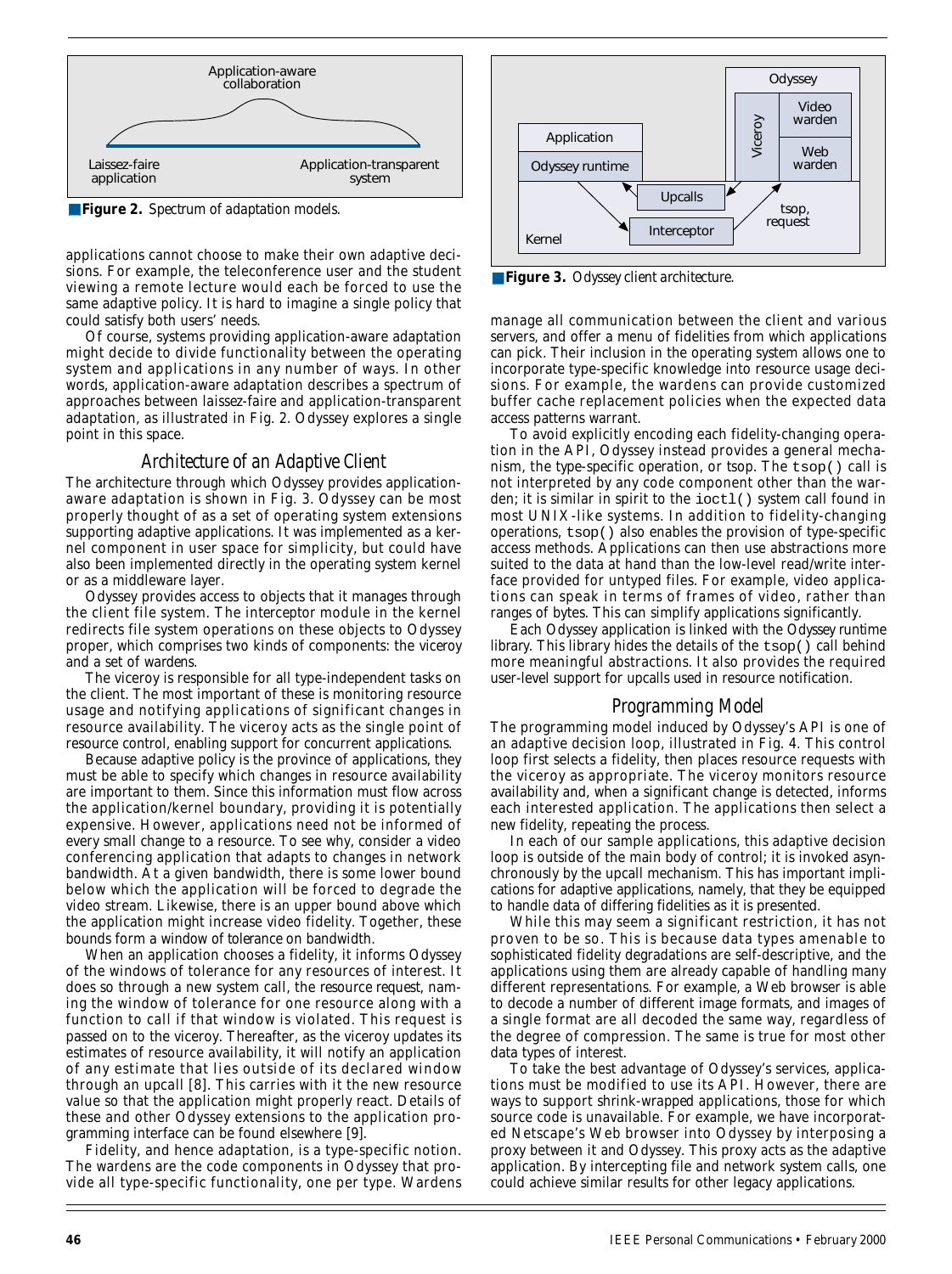

■ **Figure 2.** *Spectrum of adaptation models.* 

applications cannot choose to make their own adaptive decisions. For example, the teleconference user and the student viewing a remote lecture would each be forced to use the same adaptive policy. It is hard to imagine a single policy that could satisfy both users' needs.

Of course, systems providing application-aware adaptation might decide to divide functionality between the operating system and applications in any number of ways. In other words, application-aware adaptation describes a spectrum of approaches between *laissez-faire* and application-transparent adaptation, as illustrated in Fig. 2. Odyssey explores a single point in this space.

#### *Architecture of an Adaptive Client*

The architecture through which Odyssey provides applicationaware adaptation is shown in Fig. 3. Odyssey can be most properly thought of as a set of operating system extensions supporting adaptive applications. It was implemented as a kernel component in user space for simplicity, but could have also been implemented directly in the operating system kernel or as a middleware layer.

Odyssey provides access to objects that it manages through the client file system. The *interceptor* module in the kernel redirects file system operations on these objects to Odyssey proper, which comprises two kinds of components: the *viceroy* and a set of *wardens.*

The viceroy is responsible for all type-independent tasks on the client. The most important of these is monitoring resource usage and notifying applications of significant changes in resource availability. The viceroy acts as the single point of resource control, enabling support for concurrent applications.

Because adaptive policy is the province of applications, they must be able to specify which changes in resource availability are important to them. Since this information must flow across the application/kernel boundary, providing it is potentially expensive. However, applications need not be informed of every small change to a resource. To see why, consider a video conferencing application that adapts to changes in network bandwidth. At a given bandwidth, there is some lower bound below which the application will be forced to degrade the video stream. Likewise, there is an upper bound above which the application might increase video fidelity. Together, these bounds form a *window of tolerance* on bandwidth.

When an application chooses a fidelity, it informs Odyssey of the windows of tolerance for any resources of interest. It does so through a new system call, the *resource request*, naming the window of tolerance for one resource along with a function to call if that window is violated. This request is passed on to the viceroy. Thereafter, as the viceroy updates its estimates of resource availability, it will notify an application of any estimate that lies outside of its declared window through an *upcall* [8]. This carries with it the new resource value so that the application might properly react. Details of these and other Odyssey extensions to the application programming interface can be found elsewhere [9].

Fidelity, and hence adaptation, is a type-specific notion. The wardens are the code components in Odyssey that provide all type-specific functionality, one per type. Wardens



■ **Figure 3.** *Odyssey client architecture.*

manage all communication between the client and various servers, and offer a menu of fidelities from which applications can pick. Their inclusion in the operating system allows one to incorporate type-specific knowledge into resource usage decisions. For example, the wardens can provide customized buffer cache replacement policies when the expected data access patterns warrant.

To avoid explicitly encoding each fidelity-changing operation in the API, Odyssey instead provides a general mechanism, the *type-specific operation*, or *tsop*. The tsop() call is not interpreted by any code component other than the warden; it is similar in spirit to the ioctl() system call found in most UNIX-like systems. In addition to fidelity-changing operations, tsop() also enables the provision of type-specific access methods. Applications can then use abstractions more suited to the data at hand than the low-level read/write interface provided for untyped files. For example, video applications can speak in terms of frames of video, rather than ranges of bytes. This can simplify applications significantly.

Each Odyssey application is linked with the *Odyssey runtime library*. This library hides the details of the tsop() call behind more meaningful abstractions. It also provides the required user-level support for upcalls used in resource notification.

#### *Programming Model*

The programming model induced by Odyssey's API is one of an adaptive decision loop, illustrated in Fig. 4. This control loop first selects a fidelity, then places resource requests with the viceroy as appropriate. The viceroy monitors resource availability and, when a significant change is detected, informs each interested application. The applications then select a new fidelity, repeating the process.

In each of our sample applications, this adaptive decision loop is outside of the main body of control; it is invoked asynchronously by the upcall mechanism. This has important implications for adaptive applications, namely, that they be equipped to handle data of differing fidelities as it is presented.

While this may seem a significant restriction, it has not proven to be so. This is because data types amenable to sophisticated fidelity degradations are self-descriptive, and the applications using them are already capable of handling many different representations. For example, a Web browser is able to decode a number of different image formats, and images of a single format are all decoded the same way, regardless of the degree of compression. The same is true for most other data types of interest.

To take the best advantage of Odyssey's services, applications must be modified to use its API. However, there are ways to support *shrink-wrapped* applications, those for which source code is unavailable. For example, we have incorporated Netscape's Web browser into Odyssey by interposing a proxy between it and Odyssey. This proxy acts as the adaptive application. By intercepting file and network system calls, one could achieve similar results for other legacy applications.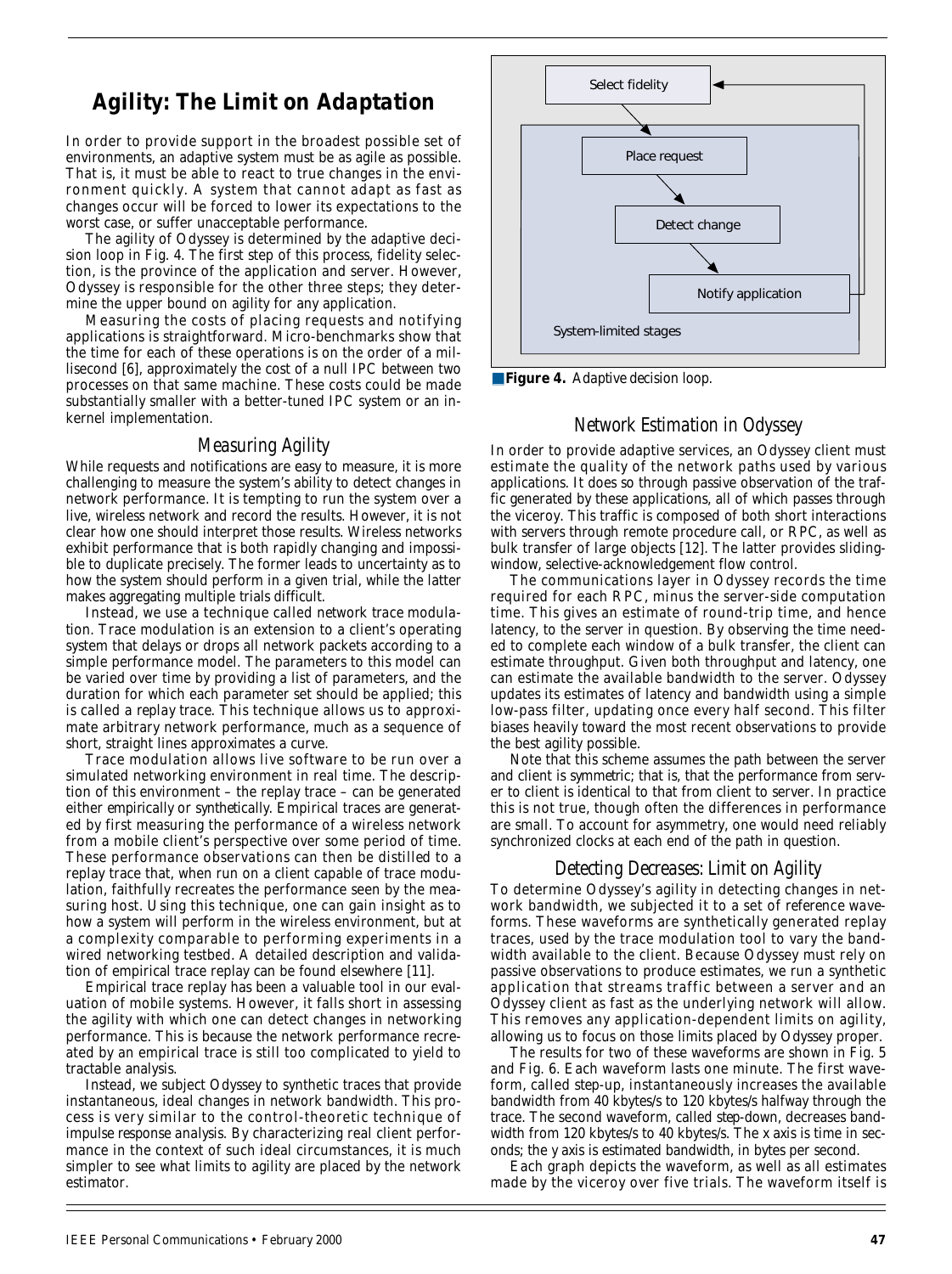## *Agility: The Limit on Adaptation*

In order to provide support in the broadest possible set of environments, an adaptive system must be as agile as possible. That is, it must be able to react to true changes in the environment quickly. A system that cannot adapt as fast as changes occur will be forced to lower its expectations to the worst case, or suffer unacceptable performance.

The agility of Odyssey is determined by the adaptive decision loop in Fig. 4. The first step of this process, fidelity selection, is the province of the application and server. However, Odyssey is responsible for the other three steps; they determine the upper bound on agility for any application.

Measuring the costs of placing requests and notifying applications is straightforward. Micro-benchmarks show that the time for each of these operations is on the order of a millisecond [6], approximately the cost of a null IPC between two processes on that same machine. These costs could be made substantially smaller with a better-tuned IPC system or an inkernel implementation.

#### *Measuring Agility*

While requests and notifications are easy to measure, it is more challenging to measure the system's ability to detect changes in network performance. It is tempting to run the system over a live, wireless network and record the results. However, it is not clear how one should interpret those results. Wireless networks exhibit performance that is both rapidly changing and impossible to duplicate precisely. The former leads to uncertainty as to how the system should perform in a given trial, while the latter makes aggregating multiple trials difficult.

Instead, we use a technique called *network trace modulation*. Trace modulation is an extension to a client's operating system that delays or drops all network packets according to a simple performance model. The parameters to this model can be varied over time by providing a list of parameters, and the duration for which each parameter set should be applied; this is called a *replay trace*. This technique allows us to approximate arbitrary network performance, much as a sequence of short, straight lines approximates a curve.

Trace modulation allows live software to be run over a simulated networking environment in real time. The description of this environment – the replay trace – can be generated either *empirically* or *synthetically*. Empirical traces are generated by first measuring the performance of a wireless network from a mobile client's perspective over some period of time. These performance observations can then be *distilled* to a replay trace that, when run on a client capable of trace modulation, faithfully recreates the performance seen by the measuring host. Using this technique, one can gain insight as to how a system will perform in the wireless environment, but at a complexity comparable to performing experiments in a wired networking testbed. A detailed description and validation of empirical trace replay can be found elsewhere [11].

Empirical trace replay has been a valuable tool in our evaluation of mobile systems. However, it falls short in assessing the agility with which one can detect changes in networking performance. This is because the network performance recreated by an empirical trace is still too complicated to yield to tractable analysis.

Instead, we subject Odyssey to synthetic traces that provide instantaneous, ideal changes in network bandwidth. This process is very similar to the control-theoretic technique of *impulse response analysis*. By characterizing real client performance in the context of such ideal circumstances, it is much simpler to see what limits to agility are placed by the network estimator.



■ **Figure 4.** *Adaptive decision loop.*

#### *Network Estimation in Odyssey*

In order to provide adaptive services, an Odyssey client must estimate the quality of the network paths used by various applications. It does so through passive observation of the traffic generated by these applications, all of which passes through the viceroy. This traffic is composed of both short interactions with servers through remote procedure call, or RPC, as well as bulk transfer of large objects [12]. The latter provides slidingwindow, selective-acknowledgement flow control.

The communications layer in Odyssey records the time required for each RPC, minus the server-side computation time. This gives an estimate of round-trip time, and hence latency, to the server in question. By observing the time needed to complete each window of a bulk transfer, the client can estimate throughput. Given both throughput and latency, one can estimate the available bandwidth to the server. Odyssey updates its estimates of latency and bandwidth using a simple low-pass filter, updating once every half second. This filter biases heavily toward the most recent observations to provide the best agility possible.

Note that this scheme assumes the path between the server and client is *symmetric*; that is, that the performance from server to client is identical to that from client to server. In practice this is not true, though often the differences in performance are small. To account for asymmetry, one would need reliably synchronized clocks at each end of the path in question.

#### *Detecting Decreases: Limit on Agility*

To determine Odyssey's agility in detecting changes in network bandwidth, we subjected it to a set of *reference waveforms*. These waveforms are synthetically generated replay traces, used by the trace modulation tool to vary the bandwidth available to the client. Because Odyssey must rely on passive observations to produce estimates, we run a synthetic application that streams traffic between a server and an Odyssey client as fast as the underlying network will allow. This removes any application-dependent limits on agility, allowing us to focus on those limits placed by Odyssey proper.

The results for two of these waveforms are shown in Fig. 5 and Fig. 6. Each waveform lasts one minute. The first waveform, called *step-up*, instantaneously increases the available bandwidth from 40 kbytes/s to 120 kbytes/s halfway through the trace. The second waveform, called *step-down*, decreases bandwidth from 120 kbytes/s to 40 kbytes/s. The *x* axis is time in seconds; the *y* axis is estimated bandwidth, in bytes per second.

Each graph depicts the waveform, as well as all estimates made by the viceroy over five trials. The waveform itself is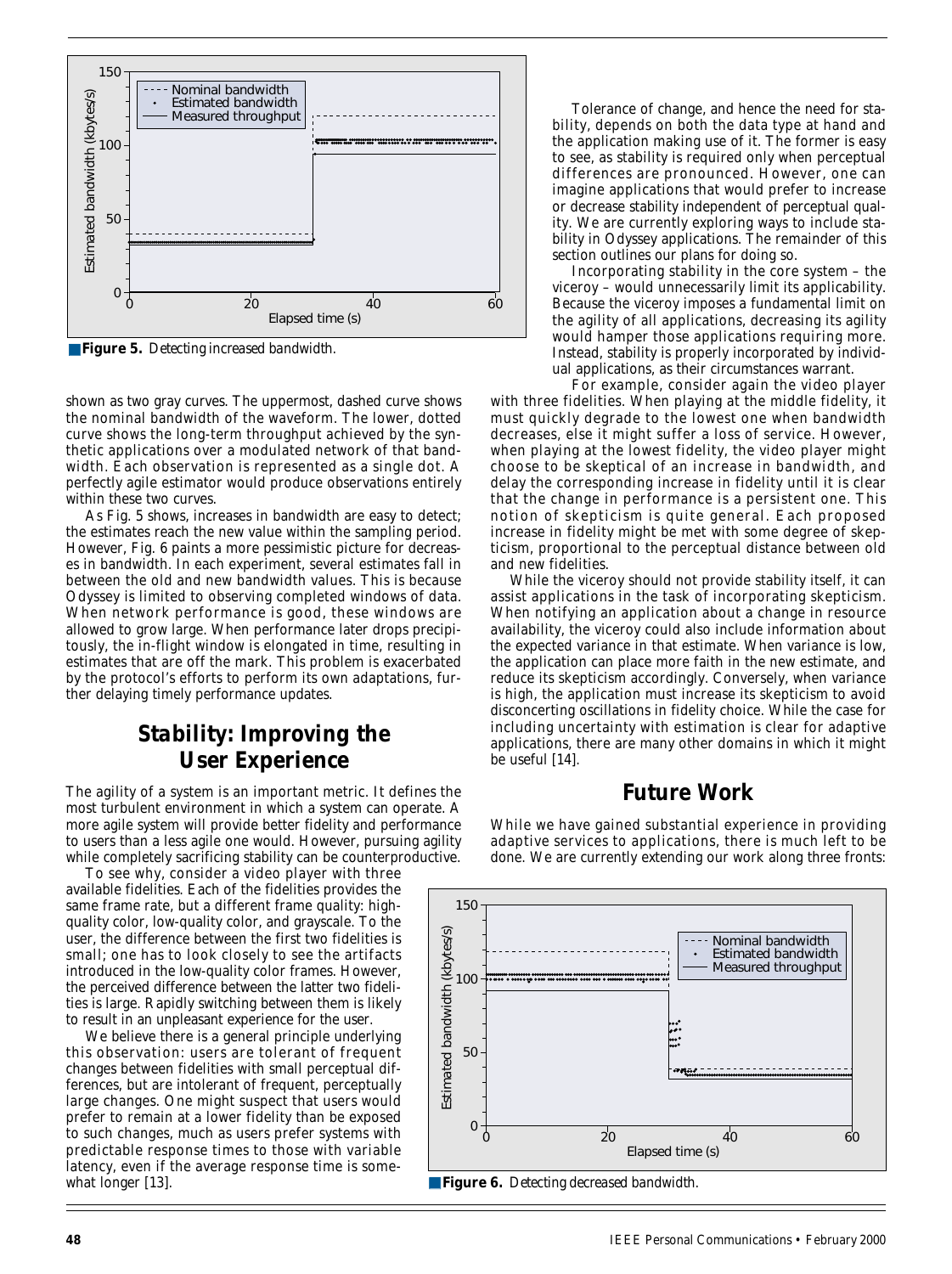

■ **Figure 5.** *Detecting increased bandwidth.*

shown as two gray curves. The uppermost, dashed curve shows the nominal bandwidth of the waveform. The lower, dotted curve shows the long-term throughput achieved by the synthetic applications over a modulated network of that bandwidth. Each observation is represented as a single dot. A perfectly agile estimator would produce observations entirely within these two curves.

As Fig. 5 shows, increases in bandwidth are easy to detect; the estimates reach the new value within the sampling period. However, Fig. 6 paints a more pessimistic picture for decreases in bandwidth. In each experiment, several estimates fall in between the old and new bandwidth values. This is because Odyssey is limited to observing completed windows of data. When network performance is good, these windows are allowed to grow large. When performance later drops precipitously, the in-flight window is elongated in time, resulting in estimates that are off the mark. This problem is exacerbated by the protocol's efforts to perform its own adaptations, further delaying timely performance updates.

## *Stability: Improving the User Experience*

The agility of a system is an important metric. It defines the most turbulent environment in which a system can operate. A more agile system will provide better fidelity and performance to users than a less agile one would. However, pursuing agility while completely sacrificing stability can be counterproductive.

To see why, consider a video player with three available fidelities. Each of the fidelities provides the same frame rate, but a different frame quality: highquality color, low-quality color, and grayscale. To the user, the difference between the first two fidelities is small; one has to look closely to see the artifacts introduced in the low-quality color frames. However, the perceived difference between the latter two fidelities is large. Rapidly switching between them is likely to result in an unpleasant experience for the user.

We believe there is a general principle underlying this observation: users are tolerant of frequent changes between fidelities with small perceptual differences, but are intolerant of frequent, perceptually large changes. One might suspect that users would prefer to remain at a lower fidelity than be exposed to such changes, much as users prefer systems with predictable response times to those with variable latency, even if the average response time is somewhat longer [13].

Tolerance of change, and hence the need for stability, depends on both the data type at hand and the application making use of it. The former is easy to see, as stability is required only when perceptual differences are pronounced. However, one can imagine applications that would prefer to increase or decrease stability independent of perceptual quality. We are currently exploring ways to include stability in Odyssey applications. The remainder of this section outlines our plans for doing so.

Incorporating stability in the core system – the viceroy – would unnecessarily limit its applicability. Because the viceroy imposes a fundamental limit on the agility of all applications, decreasing its agility would hamper those applications requiring more. Instead, stability is properly incorporated by individual applications, as their circumstances warrant.

For example, consider again the video player with three fidelities. When playing at the middle fidelity, it must quickly degrade to the lowest one when bandwidth decreases, else it might suffer a loss of service. However, when playing at the lowest fidelity, the video player might choose to be *skeptical* of an increase in bandwidth, and delay the corresponding increase in fidelity until it is clear that the change in performance is a persistent one. This notion of skepticism is quite general. Each proposed increase in fidelity might be met with some degree of skepticism, proportional to the perceptual distance between old and new fidelities.

While the viceroy should not provide stability itself, it can assist applications in the task of incorporating skepticism. When notifying an application about a change in resource availability, the viceroy could also include information about the expected variance in that estimate. When variance is low, the application can place more faith in the new estimate, and reduce its skepticism accordingly. Conversely, when variance is high, the application must increase its skepticism to avoid disconcerting oscillations in fidelity choice. While the case for including uncertainty with estimation is clear for adaptive applications, there are many other domains in which it might be useful [14].

## *Future Work*

While we have gained substantial experience in providing adaptive services to applications, there is much left to be done. We are currently extending our work along three fronts: